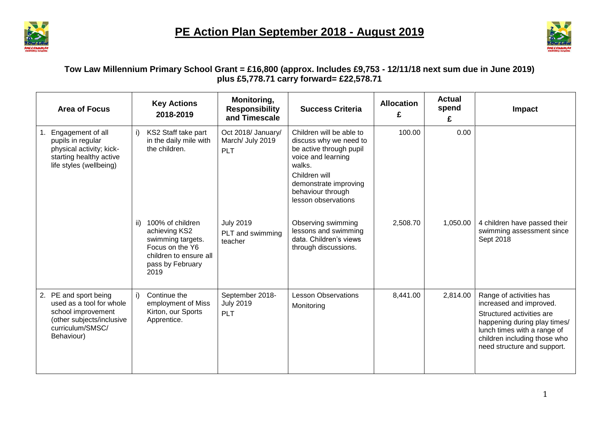



## **Tow Law Millennium Primary School Grant = £16,800 (approx. Includes £9,753 - 12/11/18 next sum due in June 2019) plus £5,778.71 carry forward= £22,578.71**

| <b>Area of Focus</b>                                                                                                                   | <b>Key Actions</b><br>2018-2019                                                                                                        | Monitoring,<br><b>Responsibility</b><br>and Timescale | <b>Success Criteria</b>                                                                                                                                                                             | <b>Allocation</b><br>£ | <b>Actual</b><br>spend<br>£ | <b>Impact</b>                                                                                                                                                                                                 |
|----------------------------------------------------------------------------------------------------------------------------------------|----------------------------------------------------------------------------------------------------------------------------------------|-------------------------------------------------------|-----------------------------------------------------------------------------------------------------------------------------------------------------------------------------------------------------|------------------------|-----------------------------|---------------------------------------------------------------------------------------------------------------------------------------------------------------------------------------------------------------|
| 1. Engagement of all<br>pupils in regular<br>physical activity; kick-<br>starting healthy active<br>life styles (wellbeing)            | KS2 Staff take part<br>i)<br>in the daily mile with<br>the children.                                                                   | Oct 2018/ January/<br>March/ July 2019<br><b>PLT</b>  | Children will be able to<br>discuss why we need to<br>be active through pupil<br>voice and learning<br>walks.<br>Children will<br>demonstrate improving<br>behaviour through<br>lesson observations | 100.00                 | 0.00                        |                                                                                                                                                                                                               |
|                                                                                                                                        | 100% of children<br>ii)<br>achieving KS2<br>swimming targets.<br>Focus on the Y6<br>children to ensure all<br>pass by February<br>2019 | <b>July 2019</b><br>PLT and swimming<br>teacher       | Observing swimming<br>lessons and swimming<br>data. Children's views<br>through discussions.                                                                                                        | 2,508.70               | 1,050.00                    | 4 children have passed their<br>swimming assessment since<br>Sept 2018                                                                                                                                        |
| 2. PE and sport being<br>used as a tool for whole<br>school improvement<br>(other subjects/inclusive<br>curriculum/SMSC/<br>Behaviour) | i)<br>Continue the<br>employment of Miss<br>Kirton, our Sports<br>Apprentice.                                                          | September 2018-<br><b>July 2019</b><br>PLT            | <b>Lesson Observations</b><br>Monitoring                                                                                                                                                            | 8,441.00               | 2,814.00                    | Range of activities has<br>increased and improved.<br>Structured activities are<br>happening during play times/<br>lunch times with a range of<br>children including those who<br>need structure and support. |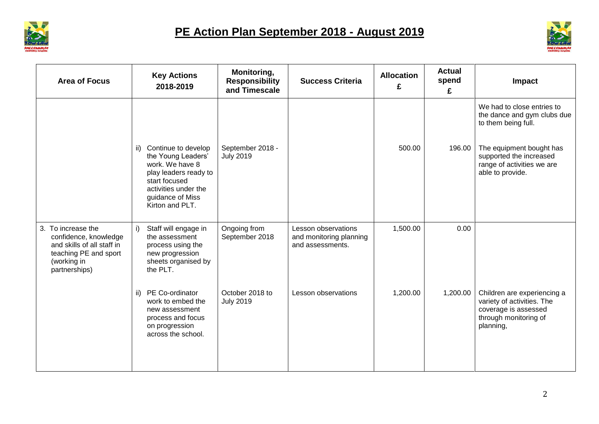



| <b>Area of Focus</b>                                                                                                               | <b>Key Actions</b><br>2018-2019                                                                                                                                              | Monitoring,<br><b>Responsibility</b><br>and Timescale | <b>Success Criteria</b>                                            | <b>Allocation</b><br>£ | <b>Actual</b><br>spend<br>£ | Impact                                                                                                                                                                                    |
|------------------------------------------------------------------------------------------------------------------------------------|------------------------------------------------------------------------------------------------------------------------------------------------------------------------------|-------------------------------------------------------|--------------------------------------------------------------------|------------------------|-----------------------------|-------------------------------------------------------------------------------------------------------------------------------------------------------------------------------------------|
|                                                                                                                                    | Continue to develop<br>ii)<br>the Young Leaders'<br>work. We have 8<br>play leaders ready to<br>start focused<br>activities under the<br>guidance of Miss<br>Kirton and PLT. | September 2018 -<br><b>July 2019</b>                  |                                                                    | 500.00                 | 196.00                      | We had to close entries to<br>the dance and gym clubs due<br>to them being full.<br>The equipment bought has<br>supported the increased<br>range of activities we are<br>able to provide. |
| 3. To increase the<br>confidence, knowledge<br>and skills of all staff in<br>teaching PE and sport<br>(working in<br>partnerships) | i)<br>Staff will engage in<br>the assessment<br>process using the<br>new progression<br>sheets organised by<br>the PLT.                                                      | Ongoing from<br>September 2018                        | Lesson observations<br>and monitoring planning<br>and assessments. | 1,500.00               | 0.00                        |                                                                                                                                                                                           |
|                                                                                                                                    | PE Co-ordinator<br>ii)<br>work to embed the<br>new assessment<br>process and focus<br>on progression<br>across the school.                                                   | October 2018 to<br><b>July 2019</b>                   | Lesson observations                                                | 1,200.00               | 1,200.00                    | Children are experiencing a<br>variety of activities. The<br>coverage is assessed<br>through monitoring of<br>planning,                                                                   |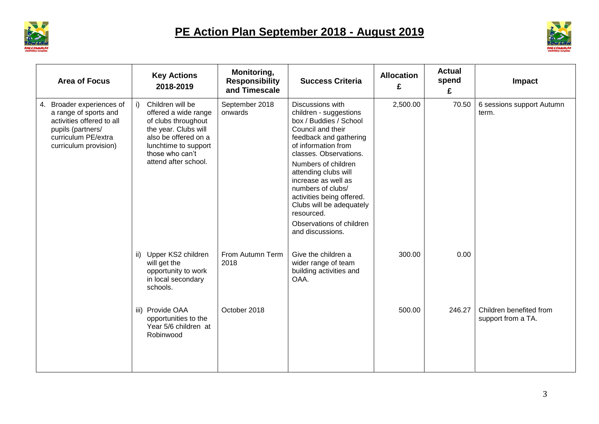



| <b>Area of Focus</b>                                                                                                                                 | <b>Key Actions</b><br>2018-2019                                                                                                                                                          | Monitoring,<br><b>Responsibility</b><br>and Timescale | <b>Success Criteria</b>                                                                                                                                                                                                                                                                                                                                                                | <b>Allocation</b><br>£ | <b>Actual</b><br>spend<br>£ | Impact                                        |
|------------------------------------------------------------------------------------------------------------------------------------------------------|------------------------------------------------------------------------------------------------------------------------------------------------------------------------------------------|-------------------------------------------------------|----------------------------------------------------------------------------------------------------------------------------------------------------------------------------------------------------------------------------------------------------------------------------------------------------------------------------------------------------------------------------------------|------------------------|-----------------------------|-----------------------------------------------|
| 4. Broader experiences of<br>a range of sports and<br>activities offered to all<br>pupils (partners/<br>curriculum PE/extra<br>curriculum provision) | Children will be<br>i)<br>offered a wide range<br>of clubs throughout<br>the year. Clubs will<br>also be offered on a<br>lunchtime to support<br>those who can't<br>attend after school. | September 2018<br>onwards                             | Discussions with<br>children - suggestions<br>box / Buddies / School<br>Council and their<br>feedback and gathering<br>of information from<br>classes. Observations.<br>Numbers of children<br>attending clubs will<br>increase as well as<br>numbers of clubs/<br>activities being offered.<br>Clubs will be adequately<br>resourced.<br>Observations of children<br>and discussions. | 2,500.00               | 70.50                       | 6 sessions support Autumn<br>term.            |
|                                                                                                                                                      | Upper KS2 children<br>ii)<br>will get the<br>opportunity to work<br>in local secondary<br>schools.                                                                                       | From Autumn Term<br>2018                              | Give the children a<br>wider range of team<br>building activities and<br>OAA.                                                                                                                                                                                                                                                                                                          | 300.00                 | 0.00                        |                                               |
|                                                                                                                                                      | iii) Provide OAA<br>opportunities to the<br>Year 5/6 children at<br>Robinwood                                                                                                            | October 2018                                          |                                                                                                                                                                                                                                                                                                                                                                                        | 500.00                 | 246.27                      | Children benefited from<br>support from a TA. |